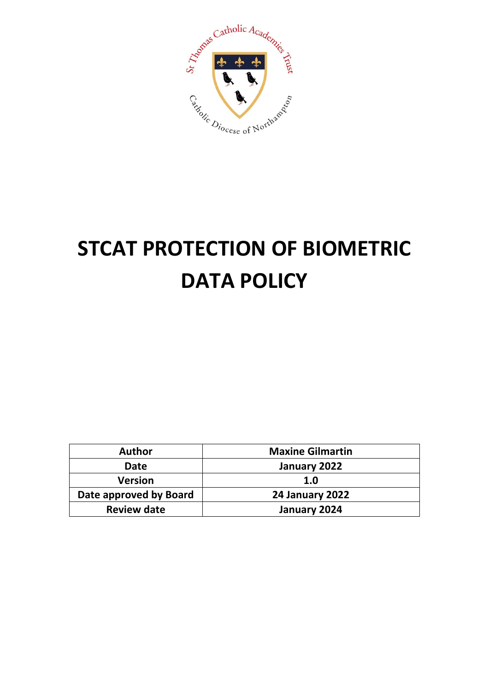

# **STCAT PROTECTION OF BIOMETRIC DATA POLICY**

| Author                 | <b>Maxine Gilmartin</b> |
|------------------------|-------------------------|
| Date                   | January 2022            |
| <b>Version</b>         | 1.0                     |
| Date approved by Board | <b>24 January 2022</b>  |
| <b>Review date</b>     | January 2024            |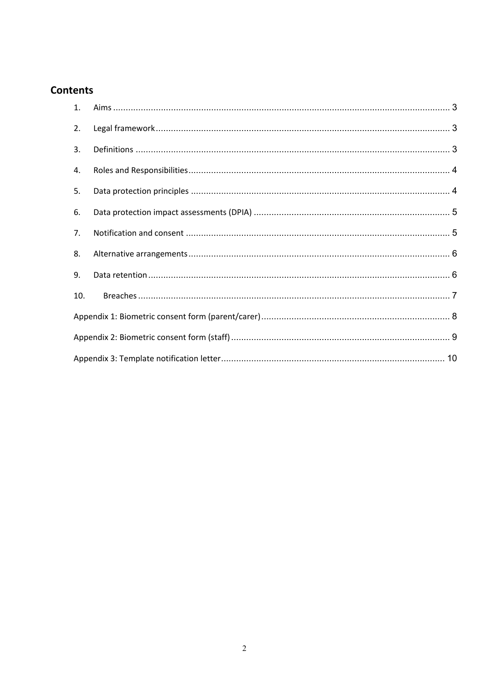# **Contents**

| 1.             |  |
|----------------|--|
| 2.             |  |
| 3.             |  |
| 4.             |  |
| 5.             |  |
| 6.             |  |
| 7 <sub>1</sub> |  |
| 8.             |  |
| 9.             |  |
| 10.            |  |
|                |  |
|                |  |
|                |  |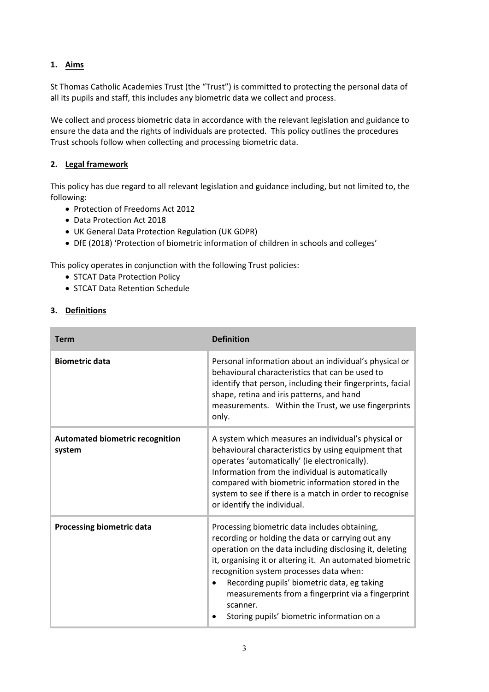# **1. Aims**

St Thomas Catholic Academies Trust (the "Trust") is committed to protecting the personal data of all its pupils and staff, this includes any biometric data we collect and process.

We collect and process biometric data in accordance with the relevant legislation and guidance to ensure the data and the rights of individuals are protected. This policy outlines the procedures Trust schools follow when collecting and processing biometric data.

# **2. Legal framework**

This policy has due regard to all relevant legislation and guidance including, but not limited to, the following:

- Protection of Freedoms Act 2012
- Data Protection Act 2018
- UK General Data Protection Regulation (UK GDPR)
- DfE (2018) 'Protection of biometric information of children in schools and colleges'

This policy operates in conjunction with the following Trust policies:

- STCAT Data Protection Policy
- STCAT Data Retention Schedule

# **3. Definitions**

| <b>Term</b>                                      | <b>Definition</b>                                                                                                                                                                                                                                                                                                                                                                                                                  |
|--------------------------------------------------|------------------------------------------------------------------------------------------------------------------------------------------------------------------------------------------------------------------------------------------------------------------------------------------------------------------------------------------------------------------------------------------------------------------------------------|
| <b>Biometric data</b>                            | Personal information about an individual's physical or<br>behavioural characteristics that can be used to<br>identify that person, including their fingerprints, facial<br>shape, retina and iris patterns, and hand<br>measurements. Within the Trust, we use fingerprints<br>only.                                                                                                                                               |
| <b>Automated biometric recognition</b><br>system | A system which measures an individual's physical or<br>behavioural characteristics by using equipment that<br>operates 'automatically' (ie electronically).<br>Information from the individual is automatically<br>compared with biometric information stored in the<br>system to see if there is a match in order to recognise<br>or identify the individual.                                                                     |
| <b>Processing biometric data</b>                 | Processing biometric data includes obtaining,<br>recording or holding the data or carrying out any<br>operation on the data including disclosing it, deleting<br>it, organising it or altering it. An automated biometric<br>recognition system processes data when:<br>Recording pupils' biometric data, eg taking<br>measurements from a fingerprint via a fingerprint<br>scanner.<br>Storing pupils' biometric information on a |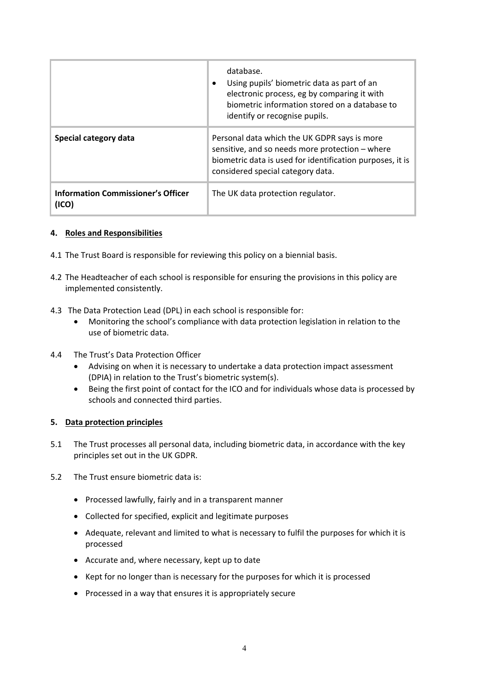|                                                    | database.<br>Using pupils' biometric data as part of an<br>٠<br>electronic process, eg by comparing it with<br>biometric information stored on a database to<br>identify or recognise pupils.     |
|----------------------------------------------------|---------------------------------------------------------------------------------------------------------------------------------------------------------------------------------------------------|
| Special category data                              | Personal data which the UK GDPR says is more<br>sensitive, and so needs more protection - where<br>biometric data is used for identification purposes, it is<br>considered special category data. |
| <b>Information Commissioner's Officer</b><br>(ICO) | The UK data protection regulator.                                                                                                                                                                 |

# **4. Roles and Responsibilities**

- 4.1 The Trust Board is responsible for reviewing this policy on a biennial basis.
- 4.2 The Headteacher of each school is responsible for ensuring the provisions in this policy are implemented consistently.
- 4.3 The Data Protection Lead (DPL) in each school is responsible for:
	- Monitoring the school's compliance with data protection legislation in relation to the use of biometric data.
- 4.4 The Trust's Data Protection Officer
	- Advising on when it is necessary to undertake a data protection impact assessment (DPIA) in relation to the Trust's biometric system(s).
	- Being the first point of contact for the ICO and for individuals whose data is processed by schools and connected third parties.

#### **5. Data protection principles**

- 5.1 The Trust processes all personal data, including biometric data, in accordance with the key principles set out in the UK GDPR.
- 5.2 The Trust ensure biometric data is:
	- Processed lawfully, fairly and in a transparent manner
	- Collected for specified, explicit and legitimate purposes
	- Adequate, relevant and limited to what is necessary to fulfil the purposes for which it is processed
	- Accurate and, where necessary, kept up to date
	- Kept for no longer than is necessary for the purposes for which it is processed
	- Processed in a way that ensures it is appropriately secure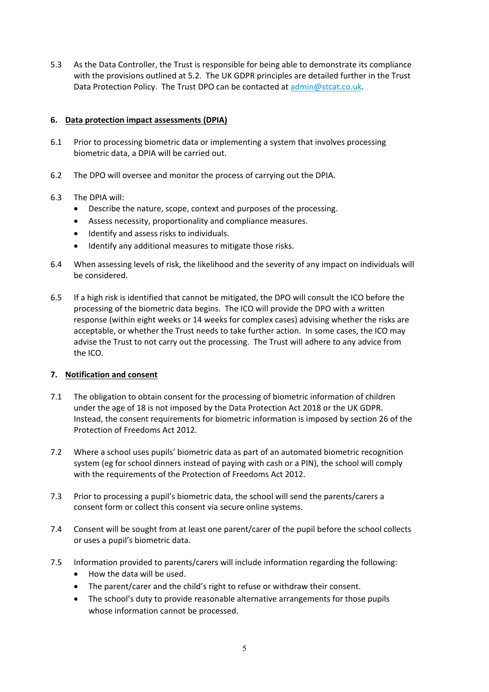5.3 As the Data Controller, the Trust is responsible for being able to demonstrate its compliance with the provisions outlined at 5.2. The UK GDPR principles are detailed further in the Trust Data Protection Policy. The Trust DPO can be contacted at [admin@stcat.co.uk.](mailto:admin@stcat.co.uk)

# **6. Data protection impact assessments (DPIA)**

- 6.1 Prior to processing biometric data or implementing a system that involves processing biometric data, a DPIA will be carried out.
- 6.2 The DPO will oversee and monitor the process of carrying out the DPIA.

# 6.3 The DPIA will:

- Describe the nature, scope, context and purposes of the processing.
- Assess necessity, proportionality and compliance measures.
- Identify and assess risks to individuals.
- Identify any additional measures to mitigate those risks.
- 6.4 When assessing levels of risk, the likelihood and the severity of any impact on individuals will be considered.
- 6.5 If a high risk is identified that cannot be mitigated, the DPO will consult the ICO before the processing of the biometric data begins. The ICO will provide the DPO with a written response (within eight weeks or 14 weeks for complex cases) advising whether the risks are acceptable, or whether the Trust needs to take further action. In some cases, the ICO may advise the Trust to not carry out the processing. The Trust will adhere to any advice from the ICO.

#### **7. Notification and consent**

- 7.1 The obligation to obtain consent for the processing of biometric information of children under the age of 18 is not imposed by the Data Protection Act 2018 or the UK GDPR. Instead, the consent requirements for biometric information is imposed by section 26 of the Protection of Freedoms Act 2012.
- 7.2 Where a school uses pupils' biometric data as part of an automated biometric recognition system (eg for school dinners instead of paying with cash or a PIN), the school will comply with the requirements of the Protection of Freedoms Act 2012.
- 7.3 Prior to processing a pupil's biometric data, the school will send the parents/carers a consent form or collect this consent via secure online systems.
- 7.4 Consent will be sought from at least one parent/carer of the pupil before the school collects or uses a pupil's biometric data.
- 7.5 Information provided to parents/carers will include information regarding the following:
	- How the data will be used.
	- The parent/carer and the child's right to refuse or withdraw their consent.
	- The school's duty to provide reasonable alternative arrangements for those pupils whose information cannot be processed.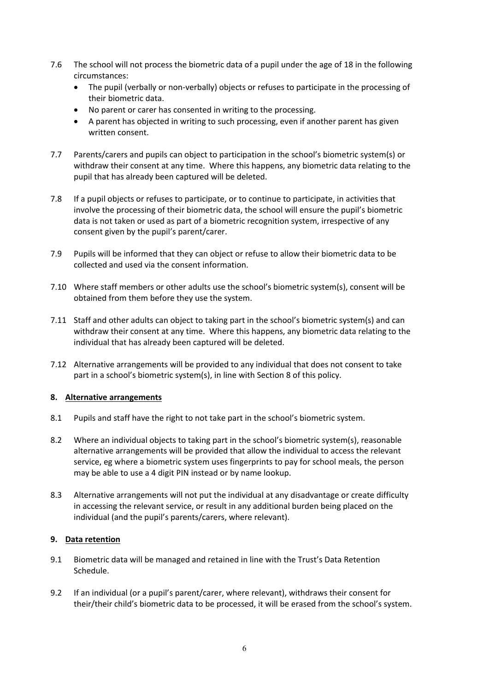- 7.6 The school will not process the biometric data of a pupil under the age of 18 in the following circumstances:
	- The pupil (verbally or non-verbally) objects or refuses to participate in the processing of their biometric data.
	- No parent or carer has consented in writing to the processing.
	- A parent has objected in writing to such processing, even if another parent has given written consent.
- 7.7 Parents/carers and pupils can object to participation in the school's biometric system(s) or withdraw their consent at any time. Where this happens, any biometric data relating to the pupil that has already been captured will be deleted.
- 7.8 If a pupil objects or refuses to participate, or to continue to participate, in activities that involve the processing of their biometric data, the school will ensure the pupil's biometric data is not taken or used as part of a biometric recognition system, irrespective of any consent given by the pupil's parent/carer.
- 7.9 Pupils will be informed that they can object or refuse to allow their biometric data to be collected and used via the consent information.
- 7.10 Where staff members or other adults use the school's biometric system(s), consent will be obtained from them before they use the system.
- 7.11 Staff and other adults can object to taking part in the school's biometric system(s) and can withdraw their consent at any time. Where this happens, any biometric data relating to the individual that has already been captured will be deleted.
- 7.12 Alternative arrangements will be provided to any individual that does not consent to take part in a school's biometric system(s), in line with Section 8 of this policy.

#### **8. Alternative arrangements**

- 8.1 Pupils and staff have the right to not take part in the school's biometric system.
- 8.2 Where an individual objects to taking part in the school's biometric system(s), reasonable alternative arrangements will be provided that allow the individual to access the relevant service, eg where a biometric system uses fingerprints to pay for school meals, the person may be able to use a 4 digit PIN instead or by name lookup.
- 8.3 Alternative arrangements will not put the individual at any disadvantage or create difficulty in accessing the relevant service, or result in any additional burden being placed on the individual (and the pupil's parents/carers, where relevant).

# **9. Data retention**

- 9.1 Biometric data will be managed and retained in line with the Trust's Data Retention Schedule.
- 9.2 If an individual (or a pupil's parent/carer, where relevant), withdraws their consent for their/their child's biometric data to be processed, it will be erased from the school's system.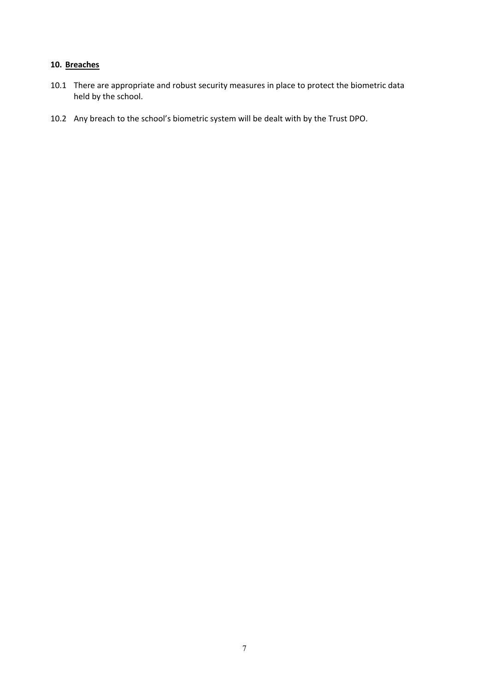# **10. Breaches**

- 10.1 There are appropriate and robust security measures in place to protect the biometric data held by the school.
- 10.2 Any breach to the school's biometric system will be dealt with by the Trust DPO.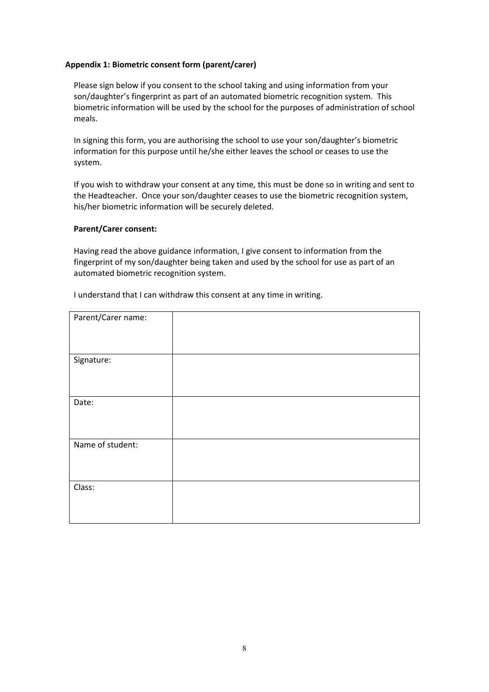#### **Appendix 1: Biometric consent form (parent/carer)**

Please sign below if you consent to the school taking and using information from your son/daughter's fingerprint as part of an automated biometric recognition system. This biometric information will be used by the school for the purposes of administration of school meals.

In signing this form, you are authorising the school to use your son/daughter's biometric information for this purpose until he/she either leaves the school or ceases to use the system.

If you wish to withdraw your consent at any time, this must be done so in writing and sent to the Headteacher. Once your son/daughter ceases to use the biometric recognition system, his/her biometric information will be securely deleted.

#### **Parent/Carer consent:**

Having read the above guidance information, I give consent to information from the fingerprint of my son/daughter being taken and used by the school for use as part of an automated biometric recognition system.

| Parent/Carer name: |  |
|--------------------|--|
|                    |  |
| Signature:         |  |
|                    |  |
| Date:              |  |
|                    |  |
| Name of student:   |  |
|                    |  |
| Class:             |  |
|                    |  |

I understand that I can withdraw this consent at any time in writing.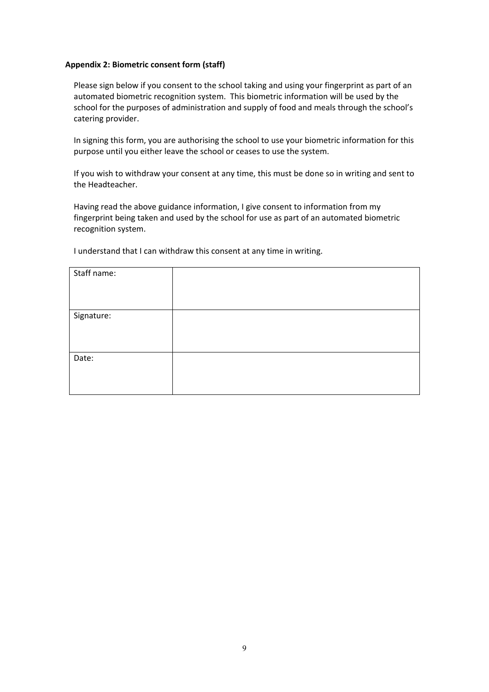#### **Appendix 2: Biometric consent form (staff)**

Please sign below if you consent to the school taking and using your fingerprint as part of an automated biometric recognition system. This biometric information will be used by the school for the purposes of administration and supply of food and meals through the school's catering provider.

In signing this form, you are authorising the school to use your biometric information for this purpose until you either leave the school or ceases to use the system.

If you wish to withdraw your consent at any time, this must be done so in writing and sent to the Headteacher.

Having read the above guidance information, I give consent to information from my fingerprint being taken and used by the school for use as part of an automated biometric recognition system.

I understand that I can withdraw this consent at any time in writing.

| Staff name: |  |
|-------------|--|
|             |  |
| Signature:  |  |
|             |  |
|             |  |
| Date:       |  |
|             |  |
|             |  |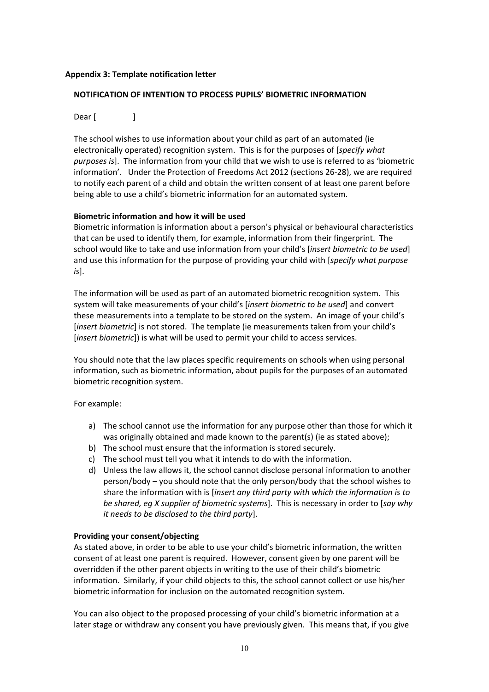#### **Appendix 3: Template notification letter**

# **NOTIFICATION OF INTENTION TO PROCESS PUPILS' BIOMETRIC INFORMATION**

Dear [ ]

The school wishes to use information about your child as part of an automated (ie electronically operated) recognition system. This is for the purposes of [*specify what purposes is*]. The information from your child that we wish to use is referred to as 'biometric information'. Under the Protection of Freedoms Act 2012 (sections 26-28), we are required to notify each parent of a child and obtain the written consent of at least one parent before being able to use a child's biometric information for an automated system.

# **Biometric information and how it will be used**

Biometric information is information about a person's physical or behavioural characteristics that can be used to identify them, for example, information from their fingerprint. The school would like to take and use information from your child's [*insert biometric to be used*] and use this information for the purpose of providing your child with [*specify what purpose is*].

The information will be used as part of an automated biometric recognition system. This system will take measurements of your child's [*insert biometric to be used*] and convert these measurements into a template to be stored on the system. An image of your child's [*insert biometric*] is not stored. The template (ie measurements taken from your child's [*insert biometric*]) is what will be used to permit your child to access services.

You should note that the law places specific requirements on schools when using personal information, such as biometric information, about pupils for the purposes of an automated biometric recognition system.

For example:

- a) The school cannot use the information for any purpose other than those for which it was originally obtained and made known to the parent(s) (ie as stated above);
- b) The school must ensure that the information is stored securely.
- c) The school must tell you what it intends to do with the information.
- d) Unless the law allows it, the school cannot disclose personal information to another person/body – you should note that the only person/body that the school wishes to share the information with is [*insert any third party with which the information is to be shared, eg X supplier of biometric systems*]. This is necessary in order to [*say why it needs to be disclosed to the third party*].

#### **Providing your consent/objecting**

As stated above, in order to be able to use your child's biometric information, the written consent of at least one parent is required. However, consent given by one parent will be overridden if the other parent objects in writing to the use of their child's biometric information. Similarly, if your child objects to this, the school cannot collect or use his/her biometric information for inclusion on the automated recognition system.

You can also object to the proposed processing of your child's biometric information at a later stage or withdraw any consent you have previously given. This means that, if you give